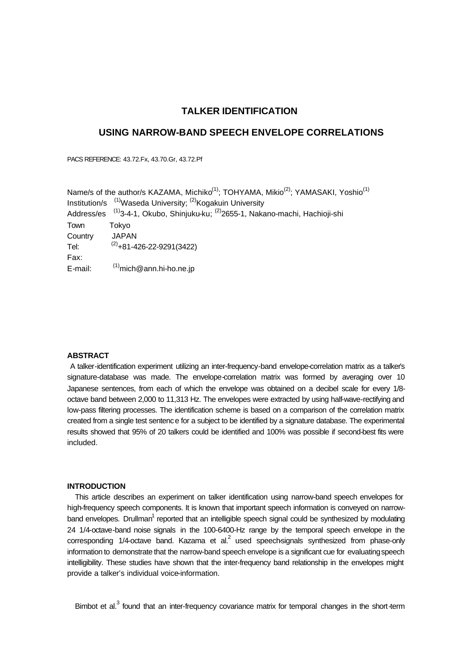# **TALKER IDENTIFICATION**

## **USING NARROW-BAND SPEECH ENVELOPE CORRELATIONS**

PACS REFERENCE: 43.72.Fx, 43.70.Gr, 43.72.Pf

Name/s of the author/s KAZAMA, Michiko<sup>(1)</sup>; TOHYAMA, Mikio<sup>(2)</sup>; YAMASAKI, Yoshio<sup>(1)</sup> Institution/s <sup>(1)</sup>Waseda University; <sup>(2)</sup>Kogakuin University Address/es <sup>(1)</sup>3-4-1, Okubo, Shinjuku-ku; <sup>(2)</sup>2655-1, Nakano-machi, Hachioji-shi Town Tokyo Country JAPAN Tel:  $(2)$ +81-426-22-9291(3422) Fax: E-mail:  $^{(1)}$ mich@ann.hi-ho.ne.jp

## **ABSTRACT**

A talker-identification experiment utilizing an inter-frequency-band envelope-correlation matrix as a talker's signature-database was made. The envelope-correlation matrix was formed by averaging over 10 Japanese sentences, from each of which the envelope was obtained on a decibel scale for every 1/8 octave band between 2,000 to 11,313 Hz. The envelopes were extracted by using half-wave-rectifying and low-pass filtering processes. The identification scheme is based on a comparison of the correlation matrix created from a single test sentence for a subject to be identified by a signature database. The experimental results showed that 95% of 20 talkers could be identified and 100% was possible if second-best fits were included.

#### **INTRODUCTION**

This article describes an experiment on talker identification using narrow-band speech envelopes for high-frequency speech components. It is known that important speech information is conveyed on narrowband envelopes. Drullman<sup>1</sup> reported that an intelligible speech signal could be synthesized by modulating 24 1/4-octave-band noise signals in the 100-6400-Hz range by the temporal speech envelope in the corresponding 1/4-octave band. Kazama et al. $^2$  used speechsignals synthesized from phase-only information to demonstrate that the narrow-band speech envelope is a significant cue for evaluating speech intelligibility. These studies have shown that the inter-frequency band relationship in the envelopes might provide a talker's individual voice-information.

Bimbot et al.<sup>3</sup> found that an inter-frequency covariance matrix for temporal changes in the short-term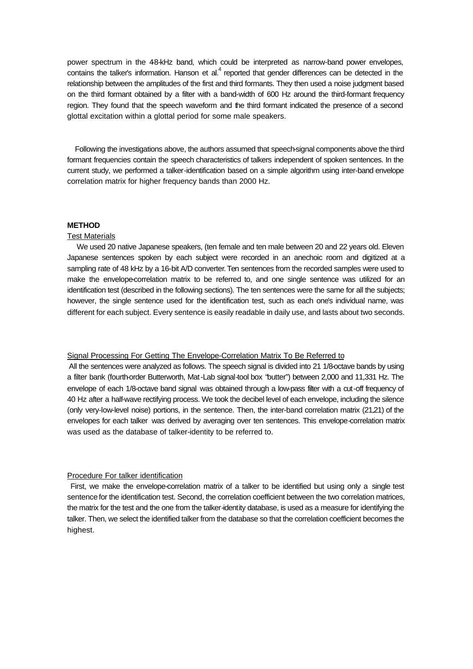power spectrum in the 48-kHz band, which could be interpreted as narrow-band power envelopes, contains the talker's information. Hanson et al. $<sup>4</sup>$  reported that gender differences can be detected in the</sup> relationship between the amplitudes of the first and third formants. They then used a noise judgment based on the third formant obtained by a filter with a band-width of 600 Hz around the third-formant frequency region. They found that the speech waveform and the third formant indicated the presence of a second glottal excitation within a glottal period for some male speakers.

Following the investigations above, the authors assumed that speech-signal components above the third formant frequencies contain the speech characteristics of talkers independent of spoken sentences. In the current study, we performed a talker-identification based on a simple algorithm using inter-band envelope correlation matrix for higher frequency bands than 2000 Hz.

### **METHOD**

#### Test Materials

We used 20 native Japanese speakers, (ten female and ten male between 20 and 22 years old. Eleven Japanese sentences spoken by each subject were recorded in an anechoic room and digitized at a sampling rate of 48 kHz by a 16-bit A/D converter. Ten sentences from the recorded samples were used to make the envelope-correlation matrix to be referred to, and one single sentence was utilized for an identification test (described in the following sections). The ten sentences were the same for all the subjects; however, the single sentence used for the identification test, such as each one's individual name, was different for each subject. Every sentence is easily readable in daily use, and lasts about two seconds.

#### Signal Processing For Getting The Envelope-Correlation Matrix To Be Referred to

All the sentences were analyzed as follows. The speech signal is divided into 21 1/8-octave bands by using a filter bank (fourth-order Butterworth, Mat-Lab signal-tool box "butter") between 2,000 and 11,331 Hz. The envelope of each 1/8-octave band signal was obtained through a low-pass filter with a cut-off frequency of 40 Hz after a half-wave rectifying process. We took the decibel level of each envelope, including the silence (only very-low-level noise) portions, in the sentence. Then, the inter-band correlation matrix (2121) of the envelopes for each talker was derived by averaging over ten sentences. This envelope-correlation matrix was used as the database of talker-identity to be referred to.

#### Procedure For talker identification

 First, we make the envelope-correlation matrix of a talker to be identified but using only a single test sentence for the identification test. Second, the correlation coefficient between the two correlation matrices, the matrix for the test and the one from the talker-identity database, is used as a measure for identifying the talker. Then, we select the identified talker from the database so that the correlation coefficient becomes the highest.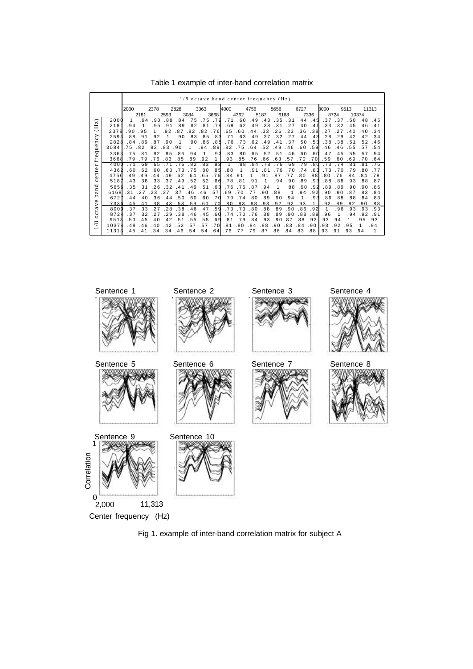|                                                                                                                                                                                |       | $1/8$ octave band center frequency $(Hz)$ |      |      |      |                       |      |      |      |      |        |      |      |      |      |           |        |      |      |        |       |       |
|--------------------------------------------------------------------------------------------------------------------------------------------------------------------------------|-------|-------------------------------------------|------|------|------|-----------------------|------|------|------|------|--------|------|------|------|------|-----------|--------|------|------|--------|-------|-------|
|                                                                                                                                                                                |       | 2000                                      |      | 2378 |      | 2828                  |      | 3363 |      | 4000 |        | 4756 |      | 5656 |      | 6727      |        | 8000 |      | 9513   |       | 11313 |
|                                                                                                                                                                                |       |                                           | 2181 |      | 2593 |                       | 3084 |      | 3668 |      | 4362   |      | 5187 |      | 6168 |           | 7336   |      | 8724 |        | 10374 |       |
| $\mathbf{N}$<br>Ξ<br>⋋<br>ပ<br>Ξ<br>ο<br>š<br>ರ್<br>$\circ$<br>£<br>⊷<br>$\mathbf{e}$<br>n<br>ω<br>ပ<br>ರ<br>an<br>ء<br>Φ<br>><br>a<br>نډ<br>ပ<br>$\circ$<br>${}^{\circ}$<br>∼ | 2000  | 1                                         | .94  | .90  | .88  | .84                   | .75  | .75  | .79  | . 71 | .60    | .49  | .43  | 35   | .31  | .44       | .45    | .37  | .37  | .50    | .48   | .45   |
|                                                                                                                                                                                | 218   | .94                                       |      | .95  | . 91 | .89                   | .82  | .81  | .79  | .69  | .62    | .49  | .38  | . 31 | .27  | .40       | .41    | .33  | .32  | .45    | .46   | .41   |
|                                                                                                                                                                                | 2378  | .90                                       | .95  |      | .92  | .87                   | .82  | .82  | .76  | .65  | .60    | .44  | .33  | -26  | 23   | .36       | .38    | . 27 |      | .40    | 40    | .34   |
|                                                                                                                                                                                | 2593  | .88                                       | .91  | .92  |      | .90                   | .83  | .85  | .83  | .71  | .63    | .49  | .37  | .32  | . 27 | .44       | .43    | .28  | .29  | .42    |       | .34   |
|                                                                                                                                                                                | 2828  | .84                                       | .89  | .87  | .90  |                       | .90  | .86  | .851 | .76  | .73    | .62  | .49  | . 41 | .37  | .50       | .531   | .38  | .38  | .51    | .52   | .46   |
|                                                                                                                                                                                | 3084  | .75                                       | .82  | .82  | .83  | . 90                  |      | .94  | .89  | .82  | .75    | .64  | .52  | .49  | .46  | .60       | .59    | .46  | .46  | .55    | .57   | .54   |
|                                                                                                                                                                                | 3363  | . 75                                      | .81  | .82  | .85  | .86                   | .94  | 1    | .92  | .83  | .80    | .65  | .52  | .51  | .46  | .60       | .60    | .47  | .45  | .55    | 57    | .54   |
|                                                                                                                                                                                | 3668  | .79                                       | .79  | .76  | .83  | .85                   | .89  | .92  |      | .93  | .85    | .76  | .66  | .63  | .57  | .70       | .70    | .59  | .60  | .69    | .70   | .64   |
|                                                                                                                                                                                | 4000  |                                           | . 69 | .65  |      | 76                    | .82  | .83  | .93  |      | .88    | . 84 |      |      | .69  | . 79      | .80    | . 73 |      | 81     |       |       |
|                                                                                                                                                                                | 4362  | . 60                                      | .62  | .60  | .63  | .73                   | .75  | .80  | .85  | .88  | 1      | .91  | .81  | .76  | .70  | .74       | .831   | .73  | .70  | .79    | .80   | .77   |
|                                                                                                                                                                                | 4756  | .49                                       | .49  | .44  | .49  | .62                   | .64  | .65  | . 76 | .84  | 91     |      | .91  | .87  | -77  | .80       | .881   | .80  | .76  | .84    | .84   | .79   |
|                                                                                                                                                                                | 518   | .43                                       | .38  | .33  | .37  | .49                   | .52  | .52  | .661 | .78  | .81    | .91  | 1    | .94  | .90  | .89       | .931   | .88  | .88  | .93    | .88   | .87   |
|                                                                                                                                                                                | 5656  | .35                                       | .31  | .26  | -32  | 41                    | .49  | .51  | .63  | .76  | .76    | .87  | .94  | 1    | .88  | .90       | .92    | .89  | .89  | .90    | .90   | .86   |
|                                                                                                                                                                                | 6168  | -31                                       |      | 23   |      | .37                   | .46  | .46  | .57  | .69  | .70    | 77   | .90  | .88  |      | .94       | .92    | .90  | .90  | .87    | .83   | .84   |
|                                                                                                                                                                                | 6721  | .44                                       | .40  | .36  | .44  | .50                   | .60  | .60  | .70  | .79  | .74    | .80  | .89  | .90  | .94  |           | .93    | .86  | .88  | .88    | .84   | .83   |
|                                                                                                                                                                                | 7336  | 45                                        | 41   | 3R   | 43   | 53                    | 59   | .60  | 7 OI | 80   | .83    | .88  | .93  | 92   | 92   | 93        |        | 92   | 89   | 92     | .90   | 88    |
|                                                                                                                                                                                | 8000  | .37                                       | .33  | -27  | .28  | .38                   | .46  | .47  | .591 | .73  | .73    | .80  | .88  | .89  | .90  | .86       | .92    | 1    | .96  | .93    | .93   | .93   |
|                                                                                                                                                                                | 8724  | .37                                       | .32  | .27  | . 29 | .38                   | .46  | .45  | .60  | .74  | .70    | .76  | .88  | .89  | .90  | .88       | .89    | .96  |      | .94    | .92   | .91   |
|                                                                                                                                                                                | 9513  | .50                                       | .45  | .40  | .42  | .51                   | .55  | .55  | .691 | . 81 | . 79   | .84  | .93  | .90  | 87   | .88       | .92    | 93   | .94  |        | . 95  | .93   |
|                                                                                                                                                                                | 10374 | .48                                       | .46  | .40  | .42  | .52                   | .57  | .57  | 701. | .81  | .80    | .84  | .88  | .90  | .83  | .84       | .90 I. | .93  | .92  | .95    |       | .94   |
|                                                                                                                                                                                | 11313 | .45                                       | .41  |      |      | .34.34.46.54.54.64.76 |      |      |      |      | .77.79 |      | .87  | .86  |      | .84.83.88 |        | 1.93 | .91  | .93.94 |       |       |

Table 1 example of inter-band correlation matrix



Fig 1. example of inter-band correlation matrix for subject A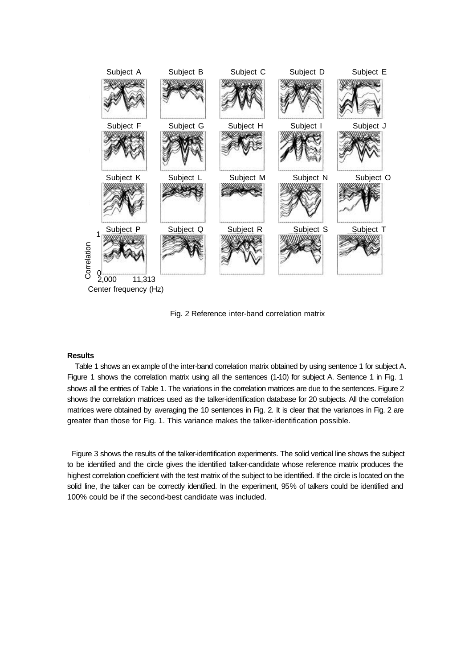

Fig. 2 Reference inter-band correlation matrix

#### **Results**

Table 1 shows an example of the inter-band correlation matrix obtained by using sentence 1 for subject A. Figure 1 shows the correlation matrix using all the sentences (1-10) for subject A. Sentence 1 in Fig. 1 shows all the entries of Table 1. The variations in the correlation matrices are due to the sentences. Figure 2 shows the correlation matrices used as the talker-identification database for 20 subjects. All the correlation matrices were obtained by averaging the 10 sentences in Fig. 2. It is clear that the variances in Fig. 2 are greater than those for Fig. 1. This variance makes the talker-identification possible.

 Figure 3 shows the results of the talker-identification experiments. The solid vertical line shows the subject to be identified and the circle gives the identified talker-candidate whose reference matrix produces the highest correlation coefficient with the test matrix of the subject to be identified. If the circle is located on the solid line, the talker can be correctly identified. In the experiment, 95% of talkers could be identified and 100% could be if the second-best candidate was included.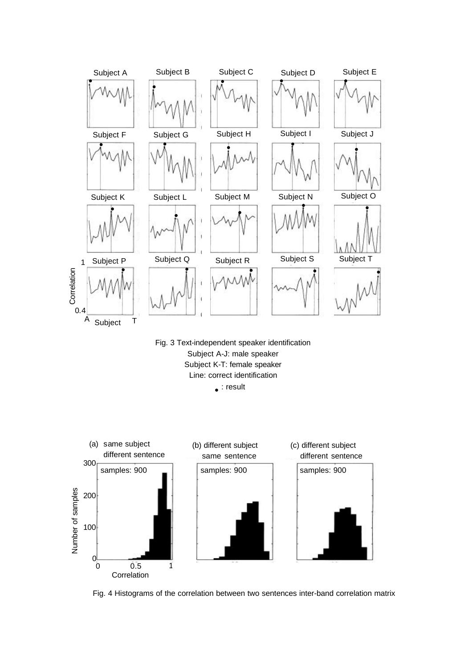

Fig. 3 Text-independent speaker identification Subject A-J: male speaker Subject K-T: female speaker Line: correct identification

 $\bullet$ : result



Fig. 4 Histograms of the correlation between two sentences inter-band correlation matrix